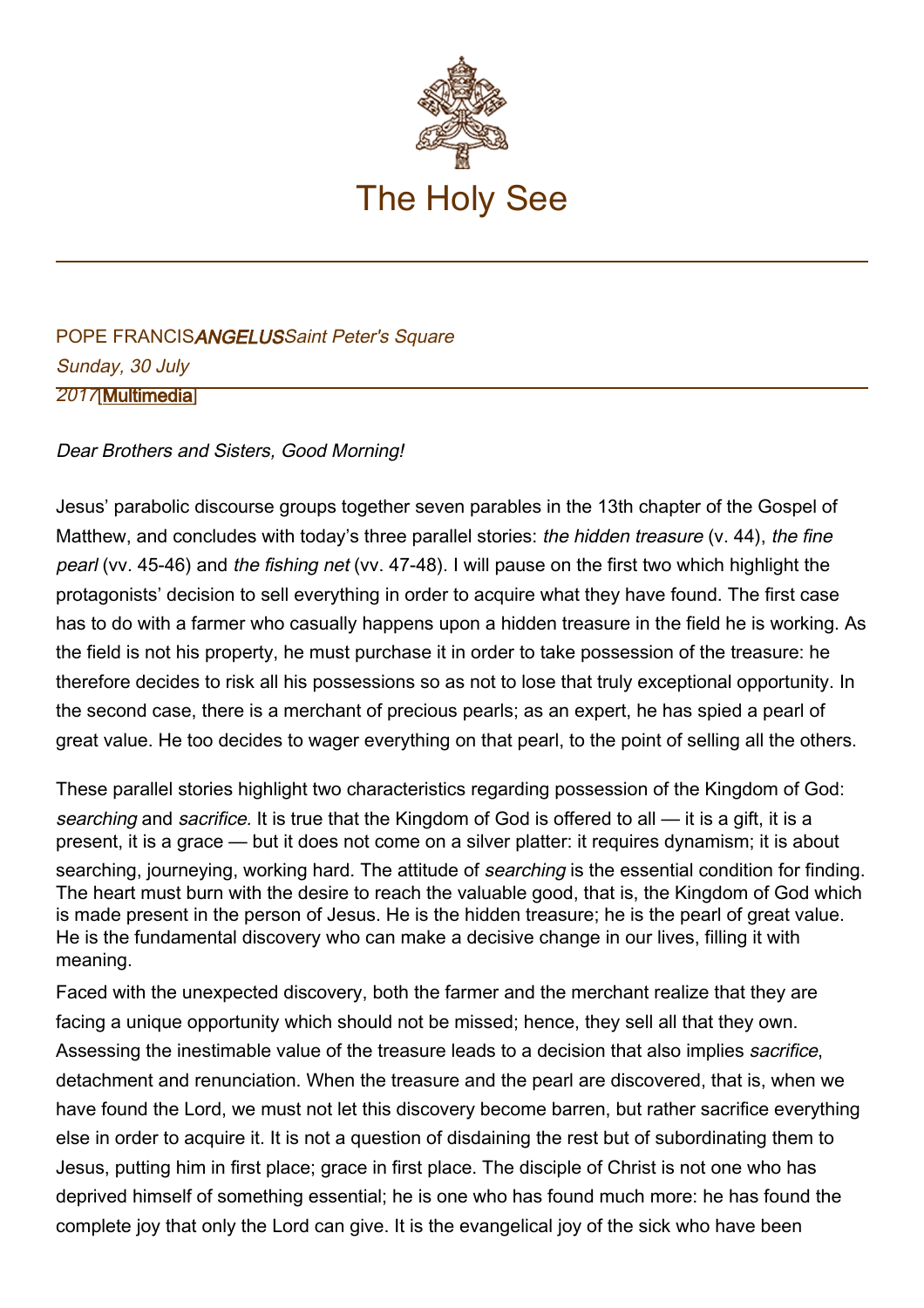

## POPE FRANCISANGELUSSaint Peter's Square Sunday, 30 July 2017[\[Multimedia](http://w2.vatican.va/content/francesco/en/events/event.dir.html/content/vaticanevents/en/2017/7/30/angelus.html)]

Dear Brothers and Sisters, Good Morning!

Jesus' parabolic discourse groups together seven parables in the 13th chapter of the Gospel of Matthew, and concludes with today's three parallel stories: the hidden treasure (v. 44), the fine pearl (vv. 45-46) and the fishing net (vv. 47-48). I will pause on the first two which highlight the protagonists' decision to sell everything in order to acquire what they have found. The first case has to do with a farmer who casually happens upon a hidden treasure in the field he is working. As the field is not his property, he must purchase it in order to take possession of the treasure: he therefore decides to risk all his possessions so as not to lose that truly exceptional opportunity. In the second case, there is a merchant of precious pearls; as an expert, he has spied a pearl of great value. He too decides to wager everything on that pearl, to the point of selling all the others.

These parallel stories highlight two characteristics regarding possession of the Kingdom of God: searching and sacrifice. It is true that the Kingdom of God is offered to all — it is a gift, it is a present, it is a grace — but it does not come on a silver platter: it requires dynamism; it is about searching, journeying, working hard. The attitude of *searching* is the essential condition for finding. The heart must burn with the desire to reach the valuable good, that is, the Kingdom of God which is made present in the person of Jesus. He is the hidden treasure; he is the pearl of great value. He is the fundamental discovery who can make a decisive change in our lives, filling it with meaning.

Faced with the unexpected discovery, both the farmer and the merchant realize that they are facing a unique opportunity which should not be missed; hence, they sell all that they own. Assessing the inestimable value of the treasure leads to a decision that also implies sacrifice, detachment and renunciation. When the treasure and the pearl are discovered, that is, when we have found the Lord, we must not let this discovery become barren, but rather sacrifice everything else in order to acquire it. It is not a question of disdaining the rest but of subordinating them to Jesus, putting him in first place; grace in first place. The disciple of Christ is not one who has deprived himself of something essential; he is one who has found much more: he has found the complete joy that only the Lord can give. It is the evangelical joy of the sick who have been